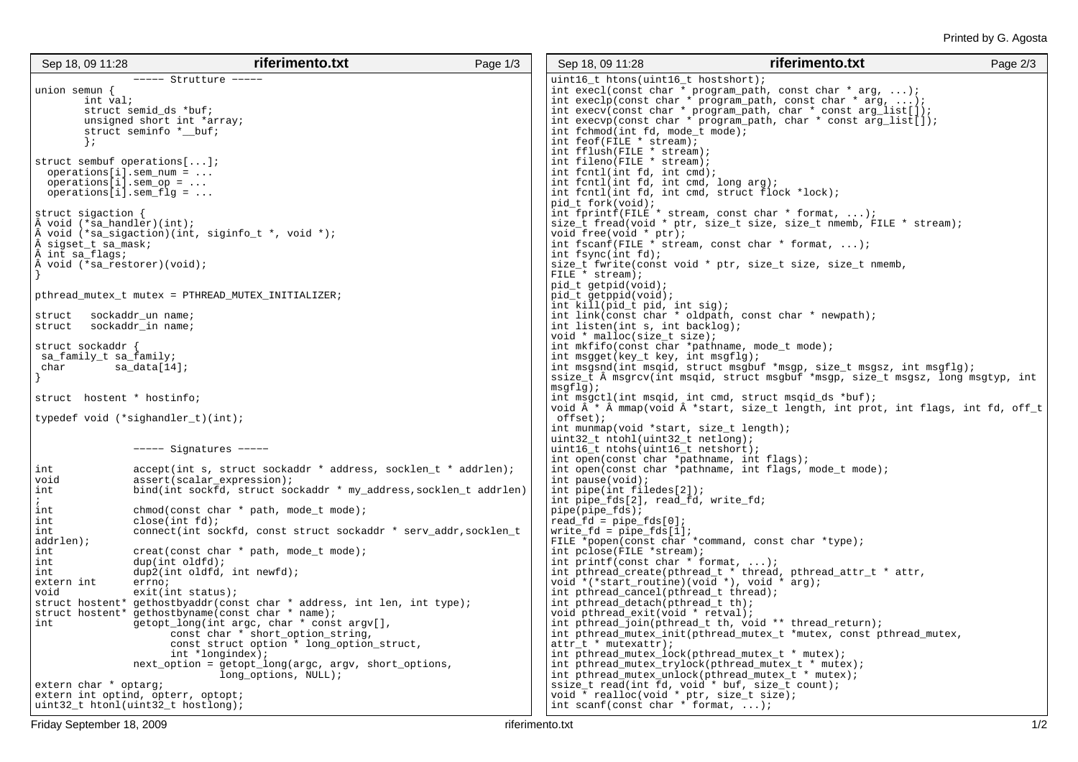| Sep 18, 09 11:28                   | riferimento.txt                                                                                                              | Page 1/3 | Sep 18, 09 11:28                                                       | riferimento.txt                                                                                                               | Page 2/3 |
|------------------------------------|------------------------------------------------------------------------------------------------------------------------------|----------|------------------------------------------------------------------------|-------------------------------------------------------------------------------------------------------------------------------|----------|
|                                    | $---$ Strutture $---$                                                                                                        |          | uint16_t htons(uint16_t hostshort);                                    |                                                                                                                               |          |
| union semun $\{$                   |                                                                                                                              |          |                                                                        | int execl(const char * program_path, const char * arg, );                                                                     |          |
| int val;                           |                                                                                                                              |          |                                                                        | int execlp(const char * program_path, const char * arg, );                                                                    |          |
|                                    | struct semid_ds *buf;                                                                                                        |          |                                                                        | int execv(const char * program_path, char * const $arg\_list[]$ );                                                            |          |
|                                    | unsigned short int *array;                                                                                                   |          |                                                                        | int execvp(const char * program_path, char * const arg_list[]);                                                               |          |
|                                    | struct seminfo *_buf;                                                                                                        |          | int fchmod(int fd, mode_t mode);                                       |                                                                                                                               |          |
| $\}$ ;                             |                                                                                                                              |          | int feof(FILE * stream);                                               |                                                                                                                               |          |
|                                    |                                                                                                                              |          | int fflush(FILE * stream);                                             |                                                                                                                               |          |
| struct sembuf operations[];        |                                                                                                                              |          | int fileno(FILE * stream);                                             |                                                                                                                               |          |
|                                    | $operations[i].sem_num = $                                                                                                   |          | int fentl(int fd, int emd);                                            |                                                                                                                               |          |
| $operations[i].sem_op = $          |                                                                                                                              |          | int fontl(int fd, int cmd, long arg);                                  |                                                                                                                               |          |
| $operations[i].sem_flg = $         |                                                                                                                              |          | int fentl(int fd, int emd, struct flock *lock);<br>pid t fork(void);   |                                                                                                                               |          |
| struct sigaction $\{$              |                                                                                                                              |          |                                                                        |                                                                                                                               |          |
| $\hat{A}$ void (*sa_handler)(int); |                                                                                                                              |          |                                                                        | int fprintf(FILE $*$ stream, const char $*$ format, );<br>size_t fread(void * ptr, size_t size, size_t nmemb, FILE * stream); |          |
|                                    | void (*sa_sigaction)(int, siginfo_t *, void *);                                                                              |          | void free(void * ptr);                                                 |                                                                                                                               |          |
| sigset_t sa_mask;                  |                                                                                                                              |          |                                                                        | int fscanf(FILE $*$ stream, const char $*$ format, );                                                                         |          |
| int sa_flags;                      |                                                                                                                              |          | int fsync(int $fd$ );                                                  |                                                                                                                               |          |
| void (*sa_restorer)(void);         |                                                                                                                              |          |                                                                        | size_t fwrite(const void * ptr, size_t size, size_t nmemb,                                                                    |          |
|                                    |                                                                                                                              |          | FILE * stream);                                                        |                                                                                                                               |          |
|                                    |                                                                                                                              |          | pid_t getpid(void);                                                    |                                                                                                                               |          |
|                                    | pthread_mutex_t mutex = PTHREAD_MUTEX_INITIALIZER;                                                                           |          | pid_t getppid(void);                                                   |                                                                                                                               |          |
|                                    |                                                                                                                              |          | int kill(pid_t pid, int sig);                                          |                                                                                                                               |          |
| struct                             | sockaddr_un name;                                                                                                            |          |                                                                        | int link(const char * oldpath, const char * newpath);                                                                         |          |
| struct                             | sockaddr_in name;                                                                                                            |          | int listen(int s, int backlog);                                        |                                                                                                                               |          |
|                                    |                                                                                                                              |          | void * malloc(size_t size);                                            |                                                                                                                               |          |
| struct sockaddr                    |                                                                                                                              |          | int $mkfifo(const char *pathname, mode_t mode)$ ;                      |                                                                                                                               |          |
| sa_family_t sa_family;             |                                                                                                                              |          | int msgget(key_t key, int msgflg);                                     |                                                                                                                               |          |
| char                               | sa_data[14];                                                                                                                 |          |                                                                        | int msgsnd(int msqid, struct msgbuf *msgp, size_t msgsz, int msgflg);                                                         |          |
|                                    |                                                                                                                              |          | $msqflq)$ ;                                                            | ssize_t $\hat{A}$ msgrcv(int msgid, struct msgbuf *msgp, size_t msgsz, long msgtyp, int                                       |          |
| struct hostent * hostinfo;         |                                                                                                                              |          |                                                                        | int msgctl(int msqid, int cmd, struct msqid_ds *buf);                                                                         |          |
|                                    |                                                                                                                              |          |                                                                        | void $\hat{A}$ * $\hat{A}$ mmap(void $\hat{A}$ *start, size_t length, int prot, int flags, int fd, off_t                      |          |
|                                    | typedef void (*sighandler_t)(int);                                                                                           |          | $offset)$ ;                                                            |                                                                                                                               |          |
|                                    |                                                                                                                              |          | int munmap(void *start, size_t length);                                |                                                                                                                               |          |
|                                    |                                                                                                                              |          | $uint32_t$ ntohl(uint32_t netlong);                                    |                                                                                                                               |          |
|                                    | $---$ Signatures $---$                                                                                                       |          | uint16_t ntohs(uint16_t netshort);                                     |                                                                                                                               |          |
|                                    |                                                                                                                              |          | int open(const char *pathname, int flags);                             |                                                                                                                               |          |
| int                                | accept(int s, struct sockaddr * address, socklen_t * addrlen);                                                               |          |                                                                        | int open(const char *pathname, int flags, mode_t mode);                                                                       |          |
| void                               | assert(scalar_expression);                                                                                                   |          | int pause(void);                                                       |                                                                                                                               |          |
| int<br>$\ddot{ }$                  | bind(int sockfd, struct sockaddr * my_address, socklen_t addrlen)                                                            |          | int pipe(int filedes[2]);<br>int pipe_fds[2], read_fd, write_fd;       |                                                                                                                               |          |
| int                                | chmod(const char * path, mode_t mode);                                                                                       |          | $pipe(pipe_fds)$ ;                                                     |                                                                                                                               |          |
| int                                | close(int fd);                                                                                                               |          | $read_f d = pipe_f ds[0];$                                             |                                                                                                                               |          |
| int                                | connect(int sockfd, const struct sockaddr * serv_addr, socklen_t                                                             |          | $write_f d = pipe_f ds[1];$                                            |                                                                                                                               |          |
| addrlen);                          |                                                                                                                              |          |                                                                        | FILE *popen(const char *command, const char *type);                                                                           |          |
| int                                | $create(const char * path, mode_t mode);$                                                                                    |          | int pclose(FILE *stream);                                              |                                                                                                                               |          |
| int                                | dup(int oldfd);                                                                                                              |          | int printf(const char $*$ format, );                                   |                                                                                                                               |          |
| int                                | dup2(int oldfd, int newfd);                                                                                                  |          |                                                                        | int pthread_create(pthread_t * thread, pthread_attr_t * attr,                                                                 |          |
| extern int                         | errno;                                                                                                                       |          | void *(*start_routine)(void *), void * arg);                           |                                                                                                                               |          |
| void                               | exit(int status);                                                                                                            |          | int pthread_cancel(pthread_t thread);                                  |                                                                                                                               |          |
|                                    | struct hostent* gethostbyaddr(const char * address, int len, int type);<br>struct hostent* gethostbyname(const char * name); |          | int pthread_detach(pthread_t th);<br>void pthread_exit(void * retval); |                                                                                                                               |          |
| int                                | getopt_long(int argc, char * const argv[],                                                                                   |          |                                                                        | int pthread_join(pthread_t th, void ** thread_return);                                                                        |          |
|                                    | const char * short_option_string,                                                                                            |          |                                                                        | int pthread_mutex_init(pthread_mutex_t *mutex, const pthread_mutex,                                                           |          |
|                                    | const struct option * long_option_struct,                                                                                    |          | $attr_t * mutexact(r);$                                                |                                                                                                                               |          |
|                                    | int *longindex);                                                                                                             |          | int pthread_mutex_lock(pthread_mutex_t * mutex);                       |                                                                                                                               |          |
|                                    | next_option = getopt_long(argc, argv, short_options,                                                                         |          |                                                                        | int pthread_mutex_trylock(pthread_mutex_t * mutex);                                                                           |          |
|                                    | long_options, NULL);                                                                                                         |          |                                                                        | int pthread_mutex_unlock(pthread_mutex_t * mutex);                                                                            |          |
| extern char * optarg;              |                                                                                                                              |          | ssize_t read(int fd, void * buf, size_t count);                        |                                                                                                                               |          |
| extern int optind, opterr, optopt; |                                                                                                                              |          | void * realloc(void * ptr, size_t size);                               |                                                                                                                               |          |
|                                    | uint32_t htonl(uint32_t hostlong);                                                                                           |          | int scanf(const char $*$ format, );                                    |                                                                                                                               |          |